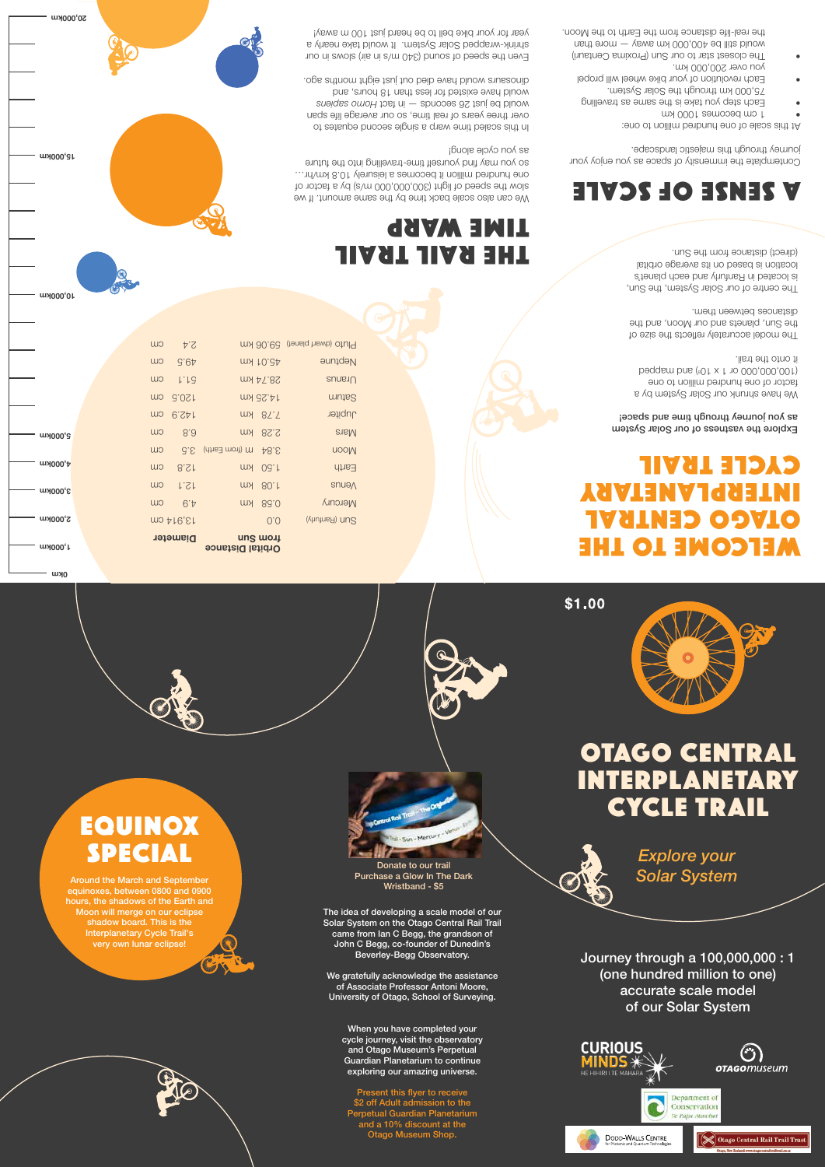Journey through a  $100,000,000:1$ (one hundred million to one) accurate scale model of our Solar System











We gratefully acknowledge the assistance of Associate Professor Antoni Moore, University of Otago, School of Surveying. versity of otago, concor of our vey if

When you have completed your when you have completed your<br>cycle journey, visit the observatory and Otago Museum's Perpetual and Stago Mascum ST cipetaal<br>Guardian Planetarium to continue addrammancturium to commu.<br>exploring our amazing universe. CAPIONING OUT UNIQUESTIG GITTLETOR.

Present this flyer to receive \$2 off Adult admission to the Perpetual Guardian Planetarium and a 10% discount at the Otago Museum Shop. Present this flyer to receive off Adult admission to and this fluou to resoluce Socht this hyer to rece<br>off Adult edminates to

equinoxes, between 0800 and 0900 hours, the shadows of the Earth and ars, are shaasws or are Earth are<br>Moon will merge on our eclipse shadow board. This is the Interplanetary Cycle Trail's very own lunar eclipse! and the march and Septem<br>10xes, between 0800 and ( Interpretistic Trailer Cycle Trailer Cycle Trailer Cycle Trailer Cycle Trailer

### Solar System on the Otago Central Rail Trail Trail Trail Trail Trail Trail Trail Trail Trail Trail Trail Trail <br>Trail Trail Trail Trail Trail Trail Trail Trail Trail Trail Trail Trail Trail Trail Trail Trail Trail Trail Tr Solar System on the Otago Central Rail Trail Trail Trail Trail Trail Trail Trail Trail Trail Trail Trail Trail T

The idea of developing a scale model of our The laca of acverbying a soald model of our<br>Solar System on the Otago Central Rail Trail came from Ian C Begg, the grandson of United the montriant of Dungage, the grandscribing John C Begg, co-founder of Dunedin's bonn & Begg, concentrative of Bancam Stranding. University Degg observatory.

## WELCOME TO THE OTAGO CENTRAL INTERPLANETARY CYCLE TRAIL

### Explore the vastness of our Solar System<br>
Explore the vastness of our Solar System as *you journey through time and space!*

We have shrunk our Solar System by a eno of noillim benbrunt eno to notost beqqsm bns (<sup>8</sup>0 t x t 10 000,000,001)<br>liest edt otac ti ilist onto the trail.

The model accurately reflects the size of the Sun, planets and our Moon, and the distances permodernales to model and the model of the size of the size of the size of the size of the size of the size of the size of the size of the size of the size of the size of the size of the size of the size of the

Orbital Distance

# location is based on its average orbital TRAIL TRAIL TRAIL (distance orbital distance from the SUL TRAIL TRAIL location is based on its average orbital THE RAIL TRAIL TRAIL TRAIL TRAIL TRAIL TRAIL TRAIL TRAIL TRAIL TRAIL TRAIL TRAIL TRAIL TRAIL TRAIL TRAIL TRAIL TRAIL TRAIL TRAIL TRAIL TRAIL TRAIL TRAIL TRAIL TRAIL TRAIL TRAIL TRAI

We can also scale back time by the same amount. If we way it is the same amount. vve can also scale back time by the same amount. If we want of the speck time and by the speck to the speck to one hundred million it becomes a leisurely 10.8 km/hr… suutut edi otni gnillevsit-emit tlesuuov bnit vem uov os as you cycle along! slow the speed of light (300,000,000 m/s) by a factor of se hond onde spoed<br>an un conde speed uses the search of the factor of the factor of the search of the search of the search of the

# A SENSE OF SCALE

Contemplate the immensity of space as you enjoy your<br>Contemplate the immensity of space as you enjoy your journey through this majestic landscape.

At this scale of one hundred million to one:  $_{\rm H}$  through through the immensional through the immensional terms of  $_{\rm H}$  and  $_{\rm H}$ 

- 1 cm becomes 1000 km
- Each step you take is the same as travelling  $\alpha$  75,000 km through the Solar System.  $\bullet$   $\qquad \qquad \qquad \qquad \text{Each two independent values of } \mathcal{A} \text{ is a constant.}$
- you over  $200,000$  km. • The closest star to our Sun (Proxima Centauri)  $\bullet$   $\qquad$  Each revolution of your bike wheel will prope
- would still be 400,000 km away  $-$  more than the real-life distance from the Earth to the Moon.  $\sim$  The closus star to our source that the reduction  $\sim$

0km

m<sup>1000</sup>, r

2,000km

10,000km

15,000km

20,000km

# OTAGO CENTRAL **INTERPLANETARY** CYCLE TRAIL *Explore your*







The centre of our Solar System, the Sun, is located in Ranfurly and each planet's distances between them. distances between them. The centre of our Solar System, the Sun, is located in Ranfurly and each planet's The centre of our Solar System, the Sun,

ot setsupe bnooes elgnis a qnaw emit belass sidt nl over three years of real time, so our average life span would be just 26 seconds - in fact Homo sapiens and would have existed for less than 18 hours, and single second equations of the single second equations of the single second equations of the single second equations of the single second equations of the single second equati dinosaurs would have died out just eight months ago. *Homo sapiens* would be just 26 seconds — in fact over three years of real time, so our average life span

Even the speed of sound (340 m/s in air) slows in our shrink-wrapped Solar System. It would take nearly a good year for your bike bell to be heard just 100 m away!

| Pluto (dwart planet) 59.06 km |                |                    | P.S                              | CW  |  |
|-------------------------------|----------------|--------------------|----------------------------------|-----|--|
| Neptune                       | MY 10.34       |                    | 9.64                             | CW  |  |
| Uranus                        | 28.74 km       |                    | L.LG                             | CW  |  |
| caturn                        | MN 3S.AT       |                    | G.0S                             | CIU |  |
| dupiter                       | MY 87.5        |                    | 0.5P                             | CIU |  |
| <b>Nars</b>                   | 2.28 km        |                    | 8.8                              | CW  |  |
| nooM                          | 48.E           | m (from Earth) G.S |                                  | CW  |  |
| Earth                         | MY 08.1        |                    | 8.5 <sub>1</sub>                 | CLU |  |
| <b>SNUAN</b>                  | MY 80.1        |                    | 1.51                             | CW  |  |
| Mercury                       | <b>WA 86.0</b> |                    | $6^{\circ}$                      | CW  |  |
| (Vhutnas) nucle               | 0.0            |                    | $\text{m}$ $\text{M}$ $\text{M}$ |     |  |
|                               | ung wou        |                    | <b>Diameter</b>                  |     |  |

3,000km 2,000km

u1000'<del>р</del>

5,000km 4,000km



Purchase a Glow In The Dark<br>Wristbond SE Donate to our trail



one hundred million it becomes a leisurely 10.8 km/hr…

\$1.00